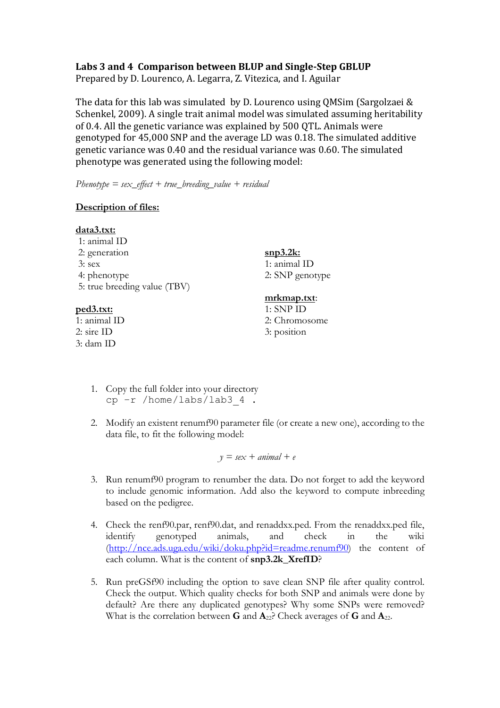## Labs 3 and 4 Comparison between BLUP and Single-Step GBLUP

Prepared by D. Lourenco, A. Legarra, Z. Vitezica, and I. Aguilar

The data for this lab was simulated by D. Lourenco using QMSim (Sargolzaei  $&$ Schenkel, 2009). A single trait animal model was simulated assuming heritability of 0.4. All the genetic variance was explained by 500 QTL. Animals were genotyped for 45,000 SNP and the average LD was 0.18. The simulated additive genetic variance was 0.40 and the residual variance was 0.60. The simulated phenotype was generated using the following model:

*Phenotype = sex\_effect + true\_breeding\_value + residual*

## **Description of files:**

| data3.txt:                                |                 |
|-------------------------------------------|-----------------|
| 1: animal ID                              |                 |
| 2: generation                             | <u>snp3.2k:</u> |
| $3:$ sex                                  | 1: animal ID    |
| 4: phenotype                              | 2: SNP genotype |
| 5: true breeding value (TBV)              |                 |
|                                           | mrkmap.txt:     |
| <u>ped3.txt:</u>                          | $1:$ SNP ID     |
| $\lambda$ $\lambda$<br>$1$ T <sub>D</sub> | $\sim$ $\cap$ 1 |

1: animal ID 2: sire ID 3: dam ID

2: Chromosome 3: position

- 1. Copy the full folder into your directory cp  $-r$  /home/labs/lab3  $4$ .
- 2. Modify an existent renumf90 parameter file (or create a new one), according to the data file, to fit the following model:

 $y = \textit{sex} + \textit{animal} + \textit{e}$ 

- 3. Run renumf90 program to renumber the data. Do not forget to add the keyword to include genomic information. Add also the keyword to compute inbreeding based on the pedigree.
- 4. Check the renf90.par, renf90.dat, and renaddxx.ped. From the renaddxx.ped file, identify genotyped animals, and check in the wiki (http://nce.ads.uga.edu/wiki/doku.php?id=readme.renumf90) the content of each column. What is the content of **snp3.2k\_XrefID**?
- 5. Run preGSf90 including the option to save clean SNP file after quality control. Check the output. Which quality checks for both SNP and animals were done by default? Are there any duplicated genotypes? Why some SNPs were removed? What is the correlation between **G** and **A**22? Check averages of **G** and **A**22.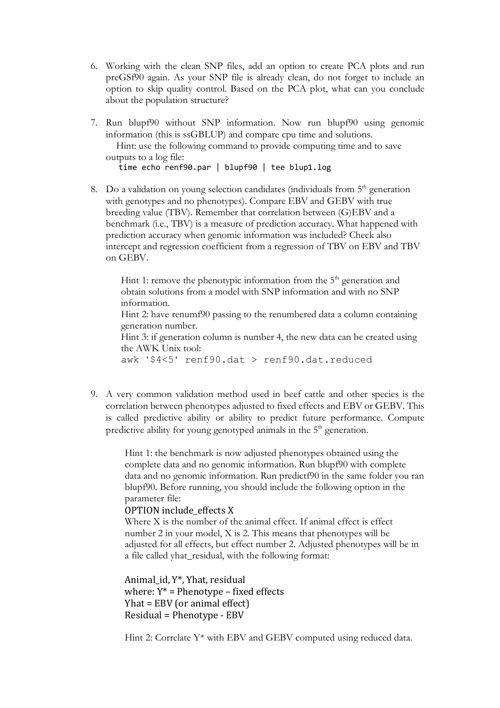- 6. Working with the clean SNP files, add an option to create PCA plots and run preGSf90 again. As your SNP file is already clean, do not forget to include an option to skip quality control. Based on the PCA plot, what can you conclude about the population structure?
- 7. Run blupf90 without SNP information. Now run blupf90 using genomic information (this is ssGBLUP) and compare cpu time and solutions. Hint: use the following command to provide computing time and to save

outputs to a log file:

time echo renf90.par | blupf90 | tee blup1.log

8. Do a validation on young selection candidates (individuals from  $5<sup>th</sup>$  generation with genotypes and no phenotypes). Compare EBV and GEBV with true breeding value (TBV). Remember that correlation between (G)EBV and a benchmark (i.e., TBV) is a measure of prediction accuracy. What happened with prediction accuracy when genomic information was included? Check also intercept and regression coefficient from a regression of TBV on EBV and TBV on GEBV.

Hint 1: remove the phenotypic information from the  $5<sup>th</sup>$  generation and obtain solutions from a model with SNP information and with no SNP information.

Hint 2: have renumf90 passing to the renumbered data a column containing generation number.

Hint 3: if generation column is number 4, the new data can be created using the AWK Unix tool:

awk '\$4<5' renf90.dat > renf90.dat.reduced

9. A very common validation method used in beef cattle and other species is the correlation between phenotypes adjusted to fixed effects and EBV or GEBV. This is called predictive ability or ability to predict future performance. Compute predictive ability for young genotyped animals in the 5<sup>th</sup> generation.

> Hint 1: the benchmark is now adjusted phenotypes obtained using the complete data and no genomic information. Run blupf90 with complete data and no genomic information. Run predictf90 in the same folder you ran blupf90. Before running, you should include the following option in the parameter file:

## OPTION include effects X

Where X is the number of the animal effect. If animal effect is effect number 2 in your model, X is 2. This means that phenotypes will be adjusted for all effects, but effect number 2. Adjusted phenotypes will be in a file called yhat\_residual, with the following format:

Animal\_id, Y\*, Yhat, residual where:  $Y^*$  = Phenotype – fixed effects  $Yhat = EBV$  (or animal effect) Residual = Phenotype - EBV

Hint 2: Correlate Y\* with EBV and GEBV computed using reduced data.